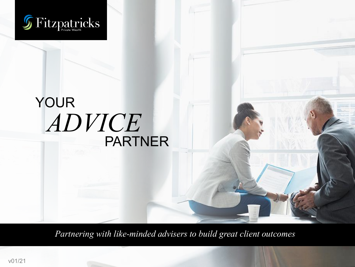

## *ADVICE* YOUR PARTNER

*Partnering with like-minded advisers to build great client outcomes*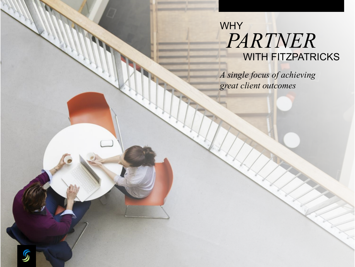## *PARTNER* WHY WITH FITZPATRICKS

*A single focus of achieving great client outcomes*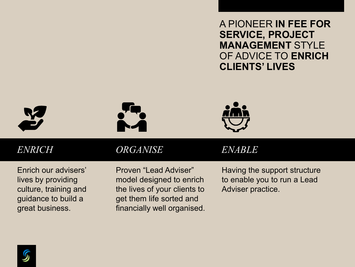A PIONEER **IN FEE FOR SERVICE, PROJECT MANAGEMENT** STYLE OF ADVICE TO **ENRICH CLIENTS' LIVES**







*ENRICH ORGANISE ENABLE*

Enrich our advisers' lives by providing culture, training and guidance to build a great business.

Proven "Lead Adviser" model designed to enrich the lives of your clients to get them life sorted and financially well organised.

Having the support structure to enable you to run a Lead Adviser practice.

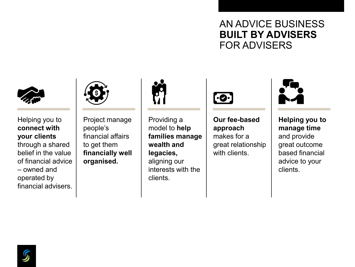#### AN ADVICE BUSINESS **BUILT BY ADVISERS**  FOR ADVISERS



#### Helping you to **connect with your clients**  through a shared belief in the value of financial advice – owned and operated by financial advisers.



Project manage people's financial affairs to get them **financially well organised.**



Providing a model to **help families manage wealth and legacies,**  aligning our interests with the clients.



**Our fee-based approach**  makes for a great relationship with clients.



**Helping you to manage time**  and provide great outcome based financial advice to your clients.

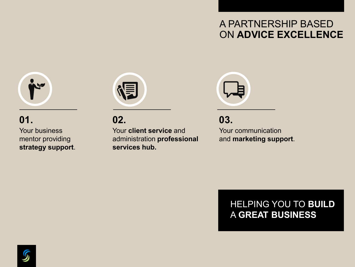#### A PARTNERSHIP BASED ON **ADVICE EXCELLENCE**



#### Your business mentor providing **strategy support**. **01.**



**02.**

Your **client service** and administration **professional services hub.**



**03.**

Your communication and **marketing support**.

#### HELPING YOU TO **BUILD** A **GREAT BUSINESS**

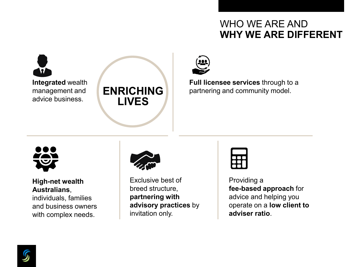#### WHO WE ARE AND **WHY WE ARE DIFFERENT**

**Integrated** wealth management and advice business.





**Full licensee services** through to a partnering and community model.



#### **High-net wealth Australians**,

individuals, families and business owners with complex needs.



Exclusive best of breed structure, **partnering with advisory practices** by invitation only.

#### Providing a **fee-based approach** for advice and helping you operate on a **low client to adviser ratio**.

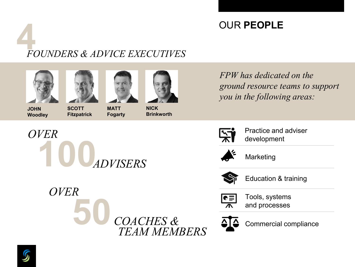#### OUR **PEOPLE**

# **4** *FOUNDERS & ADVICE EXECUTIVES*







**MATT Fogarty**

**100***ADVISERS*



**JOHN Woodley**

*OVER*

*OVER*

**SCOTT Fitzpatrick**

**NICK Brinkworth**

**50** *COACHES &*

*TEAM MEMBERS*

*FPW has dedicated on the ground resource teams to support you in the following areas:*



Practice and adviser development



Marketing



Education & training



Tools, systems and processes



Commercial compliance

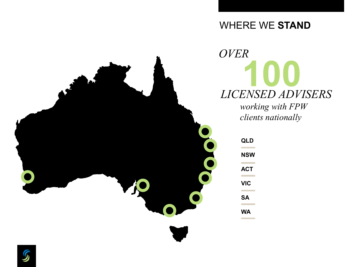#### WHERE WE **STAND**



**100** *LICENSED ADVISERS OVER*

*working with FPW clients nationally*

| <b>QLD</b>      |  |
|-----------------|--|
| <b>NSW</b>      |  |
| <b>ACT</b><br>٠ |  |
| VIC             |  |
| <b>SA</b>       |  |
| WA              |  |

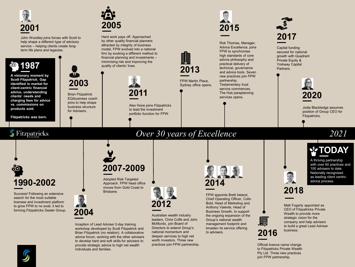

John Woodley joins forces with Scott to help shape a different type of advisory service – helping clients create longterm life plans and legacies.

#### **A** visionary moment by **<sup>39</sup>.1987**

**Scott Fitzpatrick. Gap identified in market for client-centric financial advice, understanding clients' needs and charging fees for advice vs. commissions on products sold.**

**Fitzpatricks was born.** 



Hard work pays off. Approached by other quality financial planners attracted by integrity of business model, FPW evolved into a national firm by evoking a different method to financial planning and investments – minimising risk and improving the quality of clients' lives.



Alex Hone joins Fitzpatricks to lead the investment portfolio function for FPW.



Rob Thomas, Manager, Advice Excellence, joins FPW to synchronise high standards of core advice philosophy and practical delivery of technical, governance and advice tools. Seven new practices join FPW partnership. Testamentary trust service commences.

The Hub paraplanning services opens.



secured for national growth with Quadrant Private Equity & Yorkway Capital Partners.



Jodie Blackledge assumes position of Group CEO for Fitzpatricks.

#### $\mathcal G$  Fitzpatricks

#### *Over 30 years of Excellence 2021*

**FPW Martin Place,** Sydney office opens.

**2013**

## **1990-2002 —**

Success! Following an extensive search for the most suitable licensee and investment platform to grow FPW to no avail, it led to forming Fitzpatricks Dealer Group. **2007-2009 —**



**Brian Fitzpatrick** EQ/business coach joins to help shape business structure for Advisers.

**2003**

Adopted Risk Targeted Approach. FPW head office moves from Gold Coast to



Australian wealth industry  leaders, Chris Cuffe and John McMurdo, join Board of Directors to extend Group's national momentum and deepen services to high net worth investors. Three new practices join FPW partnership.



FPW appoints Brett Ireland, Chief Operating Officer, Colin Bold, Head of Marketing and Anthony Vaiente, Head of Business Growth, to support the ongoing expansion of the Group's national wealth management footprint and broaden its service offering to advisers.

**—** A thriving partnership with over 60 practices and 100 advisers to date. Nationally recognised as leading client centric advice process.

**TODAY**



Matt Fogarty appointed as CEO of Fitzpatricks Private Wealth to provide more strategic vision for the company and help advisers to build a great Lead Adviser business.

**Official licence name change** to Fitzpatricks Private Wealth Pty Ltd. Three new practices join FPW partnership.

**2016**



Brisbane.

Inception of Lead Adviser 2-day training workshop developed by Scott Fitzpatrick and Brian Fitzpatrick (no relation). A collaborative advice forum, working with the other advisers to develop hard and soft skills for advisers to provide strategic advice to high net wealth

individuals and families.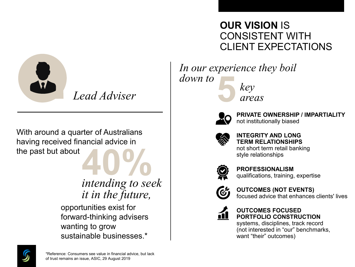

*Lead Adviser* 

With around a quarter of Australians having received financial advice in the past but about **40%** 

*intending to seek it in the future,*

opportunities exist for forward-thinking advisers wanting to grow sustainable businesses.\*

#### **OUR VISION** IS CONSISTENT WITH CLIENT EXPECTATIONS

**5***key areas In our experience they boil down to*



**PRIVATE OWNERSHIP / IMPARTIALITY** not institutionally biased



**INTEGRITY AND LONG TERM RELATIONSHIPS** not short term retail banking style relationships



**PROFESSIONALISM** qualifications, training, expertise



**OUTCOMES (NOT EVENTS)** focused advice that enhances clients' lives



**OUTCOMES FOCUSED PORTFOLIO CONSTRUCTION**

systems, disciplines, track record (not interested in "our" benchmarks, want "their" outcomes)

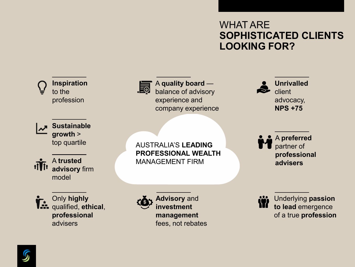#### WHAT ARE **SOPHISTICATED CLIENTS LOOKING FOR?**



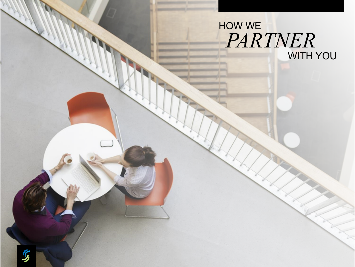### *PARTNER* HOW WE WITH YOU

 $\boldsymbol{\mathcal{G}}$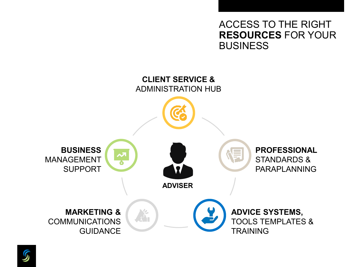ACCESS TO THE RIGHT **RESOURCES** FOR YOUR **BUSINESS** 



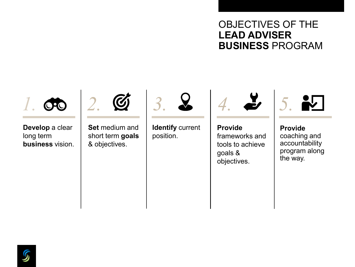#### OBJECTIVES OF THE **LEAD ADVISER BUSINESS** PROGRAM



**Develop** a clear long term **business** vision.



**Set** medium and short term **goals** & objectives.



**Identify** current position.



**Provide** frameworks and tools to achieve goals & objectives.



**Provide**  coaching and accountability program along the way.

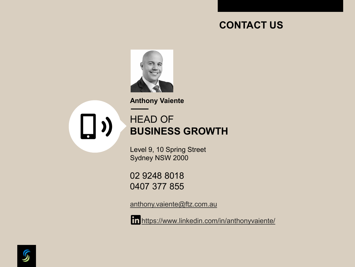#### **CONTACT US**



**—— Anthony Vaiente**

 $\Box$ 

#### HEAD OF **BUSINESS GROWTH**

Level 9, 10 Spring Street Sydney NSW 2000

02 9248 8018 0407 377 855

[anthony.vaiente@ftz.com.au](mailto:Anthony.Vaiente@ftz.com.au)